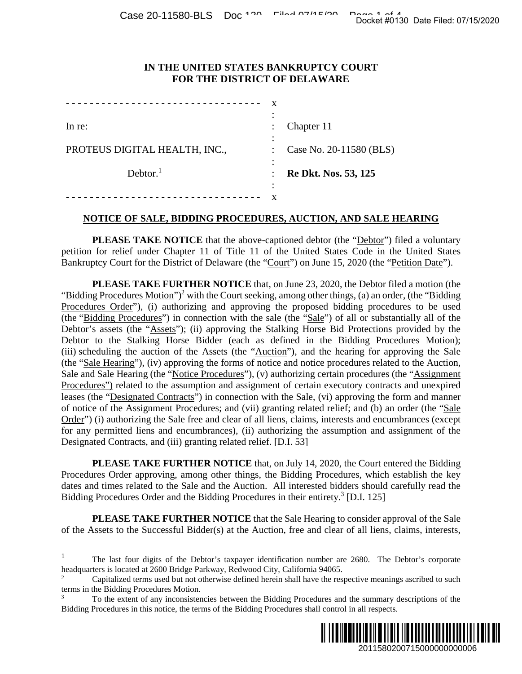### **IN THE UNITED STATES BANKRUPTCY COURT FOR THE DISTRICT OF DELAWARE**

| In $re$ :                     |   | Chapter 11                  |
|-------------------------------|---|-----------------------------|
|                               |   |                             |
| PROTEUS DIGITAL HEALTH, INC., |   | Case No. 20-11580 (BLS)     |
|                               |   |                             |
| Dektor. <sup>1</sup>          |   | <b>Re Dkt. Nos. 53, 125</b> |
|                               | ٠ |                             |
|                               |   |                             |

### **NOTICE OF SALE, BIDDING PROCEDURES, AUCTION, AND SALE HEARING**

**PLEASE TAKE NOTICE** that the above-captioned debtor (the "Debtor") filed a voluntary petition for relief under Chapter 11 of Title 11 of the United States Code in the United States Bankruptcy Court for the District of Delaware (the "Court") on June 15, 2020 (the "Petition Date").

**PLEASE TAKE FURTHER NOTICE** that, on June 23, 2020, the Debtor filed a motion (the "Bidding Procedures Motion")<sup>2</sup> with the Court seeking, among other things, (a) an order, (the "Bidding" Procedures Order"), (i) authorizing and approving the proposed bidding procedures to be used (the "Bidding Procedures") in connection with the sale (the "Sale") of all or substantially all of the Debtor's assets (the "Assets"); (ii) approving the Stalking Horse Bid Protections provided by the Debtor to the Stalking Horse Bidder (each as defined in the Bidding Procedures Motion); (iii) scheduling the auction of the Assets (the "Auction"), and the hearing for approving the Sale (the "Sale Hearing"), (iv) approving the forms of notice and notice procedures related to the Auction, Sale and Sale Hearing (the "Notice Procedures"), (v) authorizing certain procedures (the "Assignment Procedures") related to the assumption and assignment of certain executory contracts and unexpired leases (the "Designated Contracts") in connection with the Sale, (vi) approving the form and manner of notice of the Assignment Procedures; and (vii) granting related relief; and (b) an order (the "Sale Order") (i) authorizing the Sale free and clear of all liens, claims, interests and encumbrances (except for any permitted liens and encumbrances), (ii) authorizing the assumption and assignment of the Designated Contracts, and (iii) granting related relief. [D.I. 53] 2011580200715000000000006 Docket #0130 Date Filed: 07/15/2020

**PLEASE TAKE FURTHER NOTICE** that, on July 14, 2020, the Court entered the Bidding Procedures Order approving, among other things, the Bidding Procedures, which establish the key dates and times related to the Sale and the Auction. All interested bidders should carefully read the Bidding Procedures Order and the Bidding Procedures in their entirety.<sup>3</sup> [D.I. 125]

**PLEASE TAKE FURTHER NOTICE** that the Sale Hearing to consider approval of the Sale of the Assets to the Successful Bidder(s) at the Auction, free and clear of all liens, claims, interests,

 $\overline{a}$ 

<sup>3</sup> To the extent of any inconsistencies between the Bidding Procedures and the summary descriptions of the Bidding Procedures in this notice, the terms of the Bidding Procedures shall control in all respects.



<sup>&</sup>lt;sup>1</sup> The last four digits of the Debtor's taxpayer identification number are 2680. The Debtor's corporate headquarters is located at 2600 Bridge Parkway, Redwood City, California 94065.

<sup>2</sup> Capitalized terms used but not otherwise defined herein shall have the respective meanings ascribed to such terms in the Bidding Procedures Motion.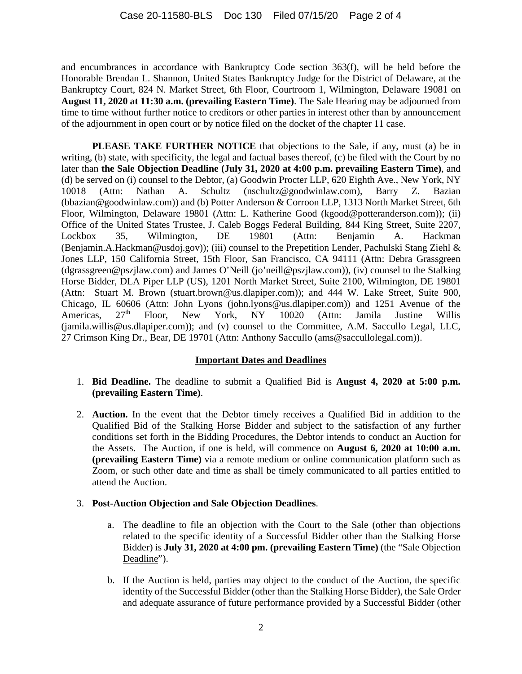and encumbrances in accordance with Bankruptcy Code section 363(f), will be held before the Honorable Brendan L. Shannon, United States Bankruptcy Judge for the District of Delaware, at the Bankruptcy Court, 824 N. Market Street, 6th Floor, Courtroom 1, Wilmington, Delaware 19081 on **August 11, 2020 at 11:30 a.m. (prevailing Eastern Time)**. The Sale Hearing may be adjourned from time to time without further notice to creditors or other parties in interest other than by announcement of the adjournment in open court or by notice filed on the docket of the chapter 11 case.

**PLEASE TAKE FURTHER NOTICE** that objections to the Sale, if any, must (a) be in writing, (b) state, with specificity, the legal and factual bases thereof, (c) be filed with the Court by no later than **the Sale Objection Deadline (July 31, 2020 at 4:00 p.m. prevailing Eastern Time)**, and (d) be served on (i) counsel to the Debtor, (a) Goodwin Procter LLP, 620 Eighth Ave., New York, NY 10018 (Attn: Nathan A. Schultz (nschultz@goodwinlaw.com), Barry Z. Bazian (bbazian@goodwinlaw.com)) and (b) Potter Anderson & Corroon LLP, 1313 North Market Street, 6th Floor, Wilmington, Delaware 19801 (Attn: L. Katherine Good (kgood@potteranderson.com)); (ii) Office of the United States Trustee, J. Caleb Boggs Federal Building, 844 King Street, Suite 2207, Lockbox 35, Wilmington, DE 19801 (Attn: Benjamin A. Hackman (Benjamin.A.Hackman@usdoj.gov)); (iii) counsel to the Prepetition Lender, Pachulski Stang Ziehl & Jones LLP, 150 California Street, 15th Floor, San Francisco, CA 94111 (Attn: Debra Grassgreen (dgrassgreen@pszjlaw.com) and James O'Neill (jo'neill@pszjlaw.com)), (iv) counsel to the Stalking Horse Bidder, DLA Piper LLP (US), 1201 North Market Street, Suite 2100, Wilmington, DE 19801 (Attn: Stuart M. Brown (stuart.brown@us.dlapiper.com)); and 444 W. Lake Street, Suite 900, Chicago, IL 60606 (Attn: John Lyons (john.lyons@us.dlapiper.com)) and 1251 Avenue of the Americas, 27<sup>th</sup> Floor, New York, NY 10020 (Attn: Jamila Justine Willis (jamila.willis@us.dlapiper.com)); and (v) counsel to the Committee, A.M. Saccullo Legal, LLC, 27 Crimson King Dr., Bear, DE 19701 (Attn: Anthony Saccullo (ams@saccullolegal.com)).

# **Important Dates and Deadlines**

- 1. **Bid Deadline.** The deadline to submit a Qualified Bid is **August 4, 2020 at 5:00 p.m. (prevailing Eastern Time)**.
- 2. **Auction.** In the event that the Debtor timely receives a Qualified Bid in addition to the Qualified Bid of the Stalking Horse Bidder and subject to the satisfaction of any further conditions set forth in the Bidding Procedures, the Debtor intends to conduct an Auction for the Assets. The Auction, if one is held, will commence on **August 6, 2020 at 10:00 a.m. (prevailing Eastern Time)** via a remote medium or online communication platform such as Zoom, or such other date and time as shall be timely communicated to all parties entitled to attend the Auction.

# 3. **Post-Auction Objection and Sale Objection Deadlines**.

- a. The deadline to file an objection with the Court to the Sale (other than objections related to the specific identity of a Successful Bidder other than the Stalking Horse Bidder) is **July 31, 2020 at 4:00 pm. (prevailing Eastern Time)** (the "Sale Objection Deadline").
- b. If the Auction is held, parties may object to the conduct of the Auction, the specific identity of the Successful Bidder (other than the Stalking Horse Bidder), the Sale Order and adequate assurance of future performance provided by a Successful Bidder (other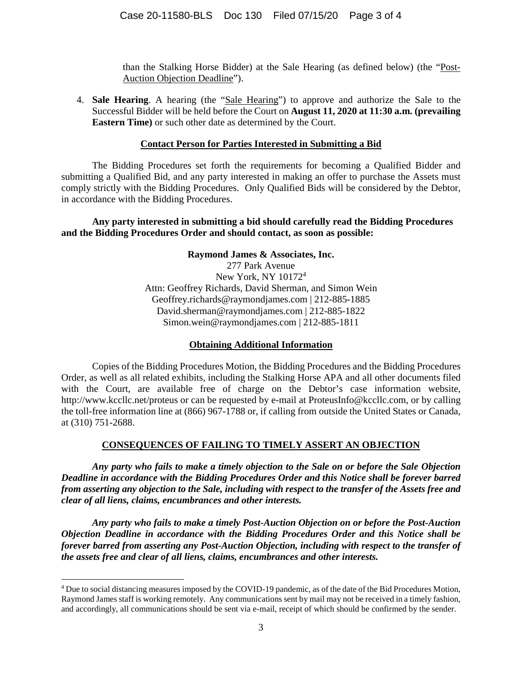than the Stalking Horse Bidder) at the Sale Hearing (as defined below) (the "Post-Auction Objection Deadline").

4. **Sale Hearing**. A hearing (the "Sale Hearing") to approve and authorize the Sale to the Successful Bidder will be held before the Court on **August 11, 2020 at 11:30 a.m. (prevailing Eastern Time)** or such other date as determined by the Court.

### **Contact Person for Parties Interested in Submitting a Bid**

The Bidding Procedures set forth the requirements for becoming a Qualified Bidder and submitting a Qualified Bid, and any party interested in making an offer to purchase the Assets must comply strictly with the Bidding Procedures. Only Qualified Bids will be considered by the Debtor, in accordance with the Bidding Procedures.

# **Any party interested in submitting a bid should carefully read the Bidding Procedures and the Bidding Procedures Order and should contact, as soon as possible:**

### **Raymond James & Associates, Inc.**

277 Park Avenue New York, NY 10172<sup>4</sup> Attn: Geoffrey Richards, David Sherman, and Simon Wein Geoffrey.richards@raymondjames.com | 212-885-1885 David.sherman@raymondjames.com | 212-885-1822 Simon.wein@raymondjames.com | 212-885-1811

### **Obtaining Additional Information**

Copies of the Bidding Procedures Motion, the Bidding Procedures and the Bidding Procedures Order, as well as all related exhibits, including the Stalking Horse APA and all other documents filed with the Court, are available free of charge on the Debtor's case information website, http://www.kccllc.net/proteus or can be requested by e-mail at ProteusInfo@kccllc.com, or by calling the toll-free information line at (866) 967-1788 or, if calling from outside the United States or Canada, at (310) 751-2688.

# **CONSEQUENCES OF FAILING TO TIMELY ASSERT AN OBJECTION**

*Any party who fails to make a timely objection to the Sale on or before the Sale Objection Deadline in accordance with the Bidding Procedures Order and this Notice shall be forever barred from asserting any objection to the Sale, including with respect to the transfer of the Assets free and clear of all liens, claims, encumbrances and other interests.* 

*Any party who fails to make a timely Post-Auction Objection on or before the Post-Auction Objection Deadline in accordance with the Bidding Procedures Order and this Notice shall be forever barred from asserting any Post-Auction Objection, including with respect to the transfer of the assets free and clear of all liens, claims, encumbrances and other interests.* 

 $\overline{a}$ 

<sup>&</sup>lt;sup>4</sup> Due to social distancing measures imposed by the COVID-19 pandemic, as of the date of the Bid Procedures Motion, Raymond James staff is working remotely. Any communications sent by mail may not be received in a timely fashion, and accordingly, all communications should be sent via e-mail, receipt of which should be confirmed by the sender.